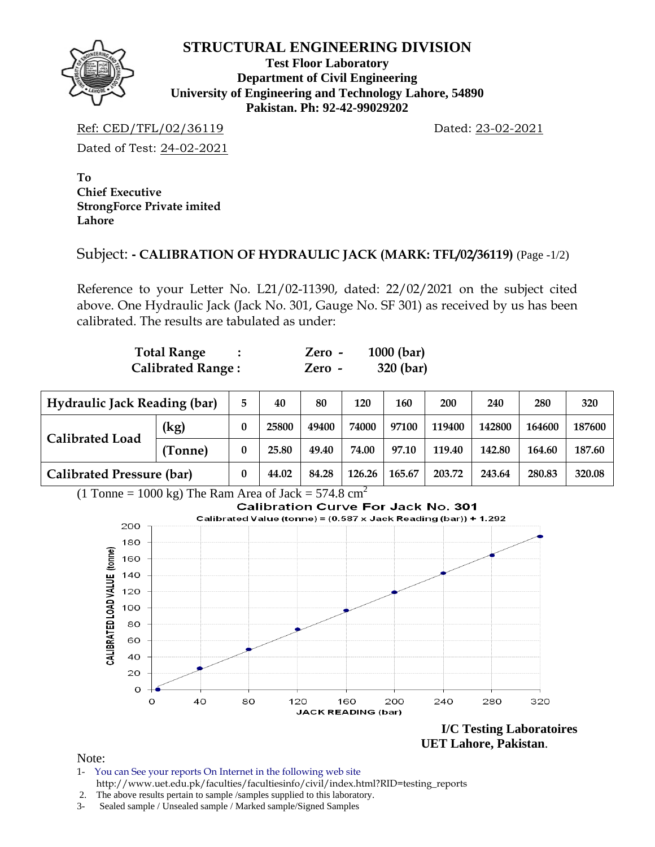

#### **STRUCTURAL ENGINEERING DIVISION**

**Test Floor Laboratory Department of Civil Engineering University of Engineering and Technology Lahore, 54890 Pakistan. Ph: 92-42-99029202** 

Ref: CED/TFL/02/36119 Dated: 23-02-2021

Dated of Test: 24-02-2021

**To Chief Executive StrongForce Private imited Lahore** 

## Subject: **- CALIBRATION OF HYDRAULIC JACK (MARK: TFL/02/36119)** (Page -1/2)

Reference to your Letter No. L21/02-11390, dated: 22/02/2021 on the subject cited above. One Hydraulic Jack (Jack No. 301, Gauge No. SF 301) as received by us has been calibrated. The results are tabulated as under:

| <b>Total Range</b>       | Zero - | $1000$ (bar) |
|--------------------------|--------|--------------|
| <b>Calibrated Range:</b> | Zero - | 320 (bar)    |

| <b>Hydraulic Jack Reading (bar)</b> |         |   | 40    | 80    | 120    | 160    | 200    | 240    | 280    | 320    |
|-------------------------------------|---------|---|-------|-------|--------|--------|--------|--------|--------|--------|
| <b>Calibrated Load</b>              | (kg)    | 0 | 25800 | 49400 | 74000  | 97100  | 119400 | 142800 | 164600 | 187600 |
|                                     | (Tonne) | 0 | 25.80 | 49.40 | 74.00  | 97.10  | 119.40 | 142.80 | 164.60 | 187.60 |
| <b>Calibrated Pressure (bar)</b>    |         |   | 44.02 | 84.28 | 126.26 | 165.67 | 203.72 | 243.64 | 280.83 | 320.08 |

(1 Tonne = 1000 kg) The Ram Area of Jack =  $574.8 \text{ cm}^2$ 



 **UET Lahore, Pakistan**.

Note:

- 1- You can See your reports On Internet in the following web site http://www.uet.edu.pk/faculties/facultiesinfo/civil/index.html?RID=testing\_reports
- 2. The above results pertain to sample /samples supplied to this laboratory.
- 3- Sealed sample / Unsealed sample / Marked sample/Signed Samples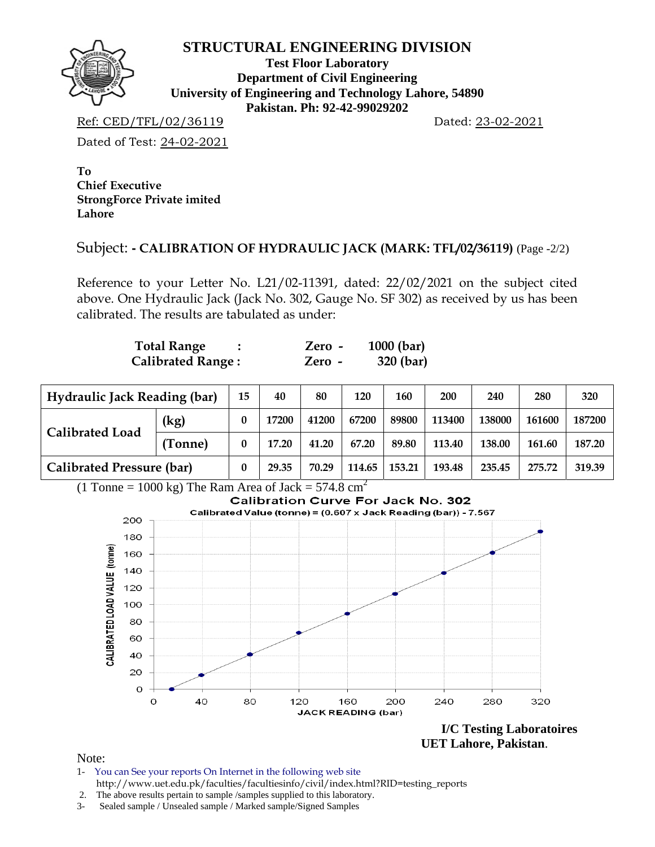

#### **STRUCTURAL ENGINEERING DIVISION**

**Test Floor Laboratory Department of Civil Engineering University of Engineering and Technology Lahore, 54890 Pakistan. Ph: 92-42-99029202** 

Ref: CED/TFL/02/36119 Dated: 23-02-2021

Dated of Test: 24-02-2021

**To Chief Executive StrongForce Private imited Lahore** 

## Subject: **- CALIBRATION OF HYDRAULIC JACK (MARK: TFL/02/36119)** (Page -2/2)

Reference to your Letter No. L21/02-11391, dated: 22/02/2021 on the subject cited above. One Hydraulic Jack (Jack No. 302, Gauge No. SF 302) as received by us has been calibrated. The results are tabulated as under:

| <b>Total Range</b>       | Zero - | $1000$ (bar) |
|--------------------------|--------|--------------|
| <b>Calibrated Range:</b> | Zero - | 320 (bar)    |

| <b>Hydraulic Jack Reading (bar)</b> |         |          | 40    | 80    | 120    | 160    | 200    | 240    | 280    | 320    |
|-------------------------------------|---------|----------|-------|-------|--------|--------|--------|--------|--------|--------|
| <b>Calibrated Load</b>              | (kg)    |          | 17200 | 41200 | 67200  | 89800  | 113400 | 138000 | 161600 | 187200 |
|                                     | (Tonne) | $\bf{0}$ | 17.20 | 41.20 | 67.20  | 89.80  | 113.40 | 138.00 | 161.60 | 187.20 |
| <b>Calibrated Pressure (bar)</b>    |         |          | 29.35 | 70.29 | 114.65 | 153.21 | 193.48 | 235.45 | 275.72 | 319.39 |

 $(1$  Tonne = 1000 kg) The Ram Area of Jack = 574.8 cm<sup>2</sup>



 **UET Lahore, Pakistan**.

Note:

- 1- You can See your reports On Internet in the following web site http://www.uet.edu.pk/faculties/facultiesinfo/civil/index.html?RID=testing\_reports
- 2. The above results pertain to sample /samples supplied to this laboratory.
- 3- Sealed sample / Unsealed sample / Marked sample/Signed Samples